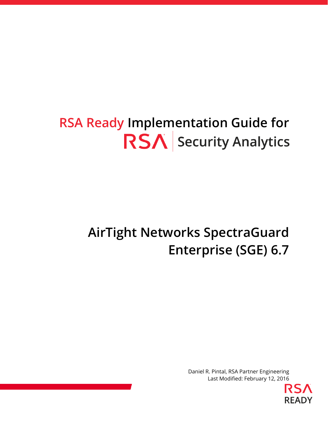# **RSA Ready Implementation Guide for RSA** Security Analytics

# **AirTight Networks SpectraGuard Enterprise (SGE) 6.7**

Daniel R. Pintal, RSA Partner Engineering Last Modified: February 12, 2016

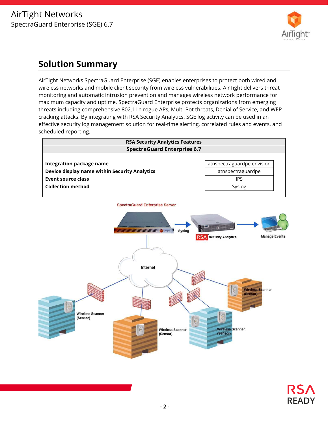

# **Solution Summary**

AirTight Networks SpectraGuard Enterprise (SGE) enables enterprises to protect both wired and wireless networks and mobile client security from wireless vulnerabilities. AirTight delivers threat monitoring and automatic intrusion prevention and manages wireless network performance for maximum capacity and uptime. SpectraGuard Enterprise protects organizations from emerging threats including comprehensive 802.11n rogue APs, Multi-Pot threats, Denial of Service, and WEP cracking attacks. By integrating with RSA Security Analytics, SGE log activity can be used in an effective security log management solution for real-time alerting, correlated rules and events, and scheduled reporting.



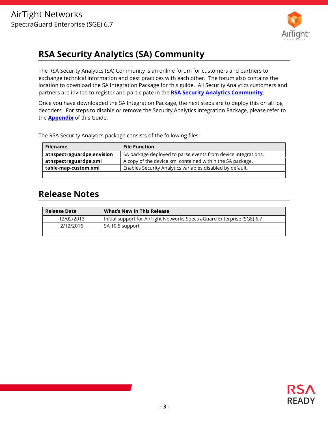

# **RSA Security Analytics (SA) Community**

The RSA Security Analytics (SA) Community is an online forum for customers and partners to exchange technical information and best practices with each other. The forum also contains the location to download the SA Integration Package for this guide. All Security Analytics customers and partners are invited to register and participate in the **RSA Security Analytics Community**.

Once you have downloaded the SA Integration Package, the next steps are to deploy this on all log decoders. For steps to disable or remove the Security Analytics Integration Package, please refer to the **Appendix** of this Guide.

The RSA Security Analytics package consists of the following files:

| <b>Filename</b>            | <b>File Function</b>                                          |
|----------------------------|---------------------------------------------------------------|
| atnspectraguardpe.envision | SA package deployed to parse events from device integrations. |
| atnspectraguardpe.xml      | A copy of the device xml contained within the SA package.     |
| table-map-custom.xml       | Enables Security Analytics variables disabled by default.     |
|                            |                                                               |

# **Release Notes**

| <b>Release Date</b> | <b>What's New In This Release</b>                                       |
|---------------------|-------------------------------------------------------------------------|
| 12/02/2013          | Initial support for AirTight Networks SpectraGuard Enterprise (SGE) 6.7 |
| 2/12/2016           | SA 10.5 support                                                         |
|                     |                                                                         |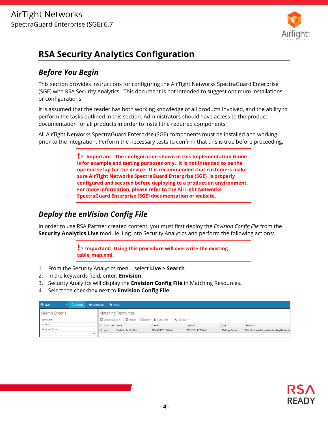

# **RSA Security Analytics Configuration**

## *Before You Begin*

This section provides instructions for configuring the AirTight Networks SpectraGuard Enterprise (SGE) with RSA Security Analytics. This document is not intended to suggest optimum installations or configurations.

It is assumed that the reader has both working knowledge of all products involved, and the ability to perform the tasks outlined in this section. Administrators should have access to the product documentation for all products in order to install the required components.

All AirTight Networks SpectraGuard Enterprise (SGE) components must be installed and working prior to the integration. Perform the necessary tests to confirm that this is true before proceeding.

> **Important: The configuration shown in this Implementation Guide is for example and testing purposes only. It is not intended to be the optimal setup for the device. It is recommended that customers make sure AirTight Networks SpectraGuard Enterprise (SGE) is properly configured and secured before deploying to a production environment. For more information, please refer to the AirTight Networks SpectraGuard Enterprise (SGE) documentation or website.**

# *Deploy the enVision Config File*

In order to use RSA Partner created content, you must first deploy the *Envision Config File* from the **Security Analytics Live** module. Log into Security Analytics and perform the following actions:

> **Important: Using this procedure will overwrite the existing table\_map.xml.**

- 1. From the Security Analytics menu, select **Live > Search**.
- 2. In the keywords field, enter: **Envision**.
- 3. Security Analytics will display the **Envision Config File** in Matching Resources.
- 4. Select the checkbox next to **Envision Config File**.

| <b>O</b> Live   | <b>Q</b> Search |        | <b><i></i></b> ≮ Configure <b>N</b> Feeds |                             |                                                                   |                    |                       |                                               |
|-----------------|-----------------|--------|-------------------------------------------|-----------------------------|-------------------------------------------------------------------|--------------------|-----------------------|-----------------------------------------------|
| Search Criteria |                 |        |                                           | <b>Matching Resources</b>   |                                                                   |                    |                       |                                               |
| Keywords        |                 |        |                                           |                             | ■ Show Results ©   ■ Details [8] Deploy > Subscribe   ※ Package © |                    |                       |                                               |
| envision        |                 |        | Subscribed Name                           |                             | Created                                                           | Updated            | Type                  | Description                                   |
| Resource Types  |                 |        | $\vee$ yes                                | <b>Envision Config File</b> | 2014-03-07 11:50 AM                                               | 2015-12-14 7:53 AM | <b>RSA Log Device</b> | This file is used to update the Log Device ba |
|                 |                 | $\sim$ |                                           |                             |                                                                   |                    |                       |                                               |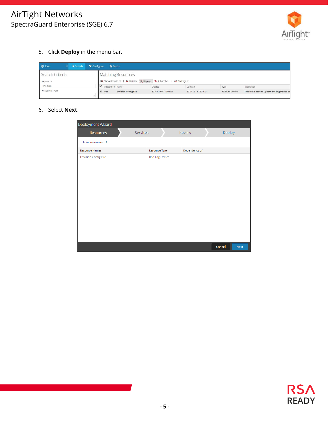

5. Click **Deploy** in the menu bar.

| <b>W</b> Live   | <b>Q</b> Search |              | <b>K</b> Configure <b>N</b> Feeds |                             |                                                                                   |                    |                       |                                               |
|-----------------|-----------------|--------------|-----------------------------------|-----------------------------|-----------------------------------------------------------------------------------|--------------------|-----------------------|-----------------------------------------------|
| Search Criteria |                 |              |                                   | <b>Matching Resources</b>   |                                                                                   |                    |                       |                                               |
| Keywords        |                 |              |                                   |                             | ■ Show Results ©   ■ Details <sup>2</sup> Deploy <b>A</b> Subscribe   ※ Package © |                    |                       |                                               |
| envision        |                 |              | Subscribed Name                   |                             | Created                                                                           | Updated            | Type                  | Description                                   |
| Resource Types  |                 |              | $\vee$ yes                        | <b>Envision Config File</b> | 2014-03-07 11:50 AM                                                               | 2015-12-14 7:53 AM | <b>RSA Log Device</b> | This file is used to update the Log Device ba |
|                 |                 | $\checkmark$ |                                   |                             |                                                                                   |                    |                       |                                               |

#### 6. Select **Next**.

| Deployment Wizard           |                       |               |                       |  |
|-----------------------------|-----------------------|---------------|-----------------------|--|
| <b>Resources</b>            | Services              | Review        | Deploy                |  |
| Total resources: 1          |                       |               |                       |  |
| <b>Resource Names</b>       | <b>Resource Type</b>  | Dependency of |                       |  |
| <b>Envision Config File</b> | <b>RSA Log Device</b> |               |                       |  |
|                             |                       |               |                       |  |
|                             |                       |               |                       |  |
|                             |                       |               |                       |  |
|                             |                       |               |                       |  |
|                             |                       |               |                       |  |
|                             |                       |               |                       |  |
|                             |                       |               |                       |  |
|                             |                       |               |                       |  |
|                             |                       |               |                       |  |
|                             |                       |               |                       |  |
|                             |                       |               |                       |  |
|                             |                       |               | Cancel<br><b>Next</b> |  |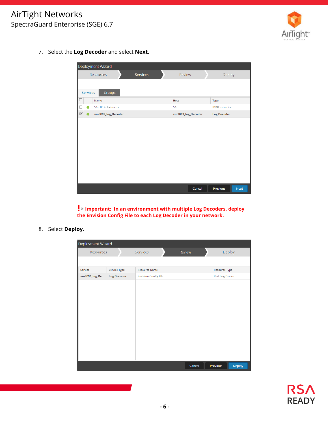## AirTight Networks SpectraGuard Enterprise (SGE) 6.7



7. Select the **Log Decoder** and select **Next**.

|                         | Deployment Wizard   |                 |                    |                         |  |  |  |  |  |
|-------------------------|---------------------|-----------------|--------------------|-------------------------|--|--|--|--|--|
|                         | Resources           | <b>Services</b> | Review             | Deploy                  |  |  |  |  |  |
|                         |                     |                 |                    |                         |  |  |  |  |  |
| Services                | Groups              |                 |                    |                         |  |  |  |  |  |
|                         | Name                |                 | Host               | <b>Type</b>             |  |  |  |  |  |
|                         | SA - IPDB Extractor |                 | <b>SA</b>          | <b>IPDB</b> Extractor   |  |  |  |  |  |
| $\overline{\mathsf{v}}$ | vm3099_log_Decoder  |                 | vm3099_log_Decoder | <b>Log Decoder</b>      |  |  |  |  |  |
|                         |                     |                 |                    |                         |  |  |  |  |  |
|                         |                     |                 |                    |                         |  |  |  |  |  |
|                         |                     |                 |                    |                         |  |  |  |  |  |
|                         |                     |                 |                    |                         |  |  |  |  |  |
|                         |                     |                 | Cancel             | Previous<br><b>Next</b> |  |  |  |  |  |

**Important: In an environment with multiple Log Decoders, deploy the Envision Config File to each Log Decoder in your network.** 

8. Select **Deploy**.

L

| Deployment Wizard |                    |                             |        |                           |  |  |  |  |
|-------------------|--------------------|-----------------------------|--------|---------------------------|--|--|--|--|
| Resources         |                    | Services                    | Review | Deploy                    |  |  |  |  |
|                   |                    |                             |        |                           |  |  |  |  |
| Service           | Service Type       | <b>Resource Name</b>        |        | <b>Resource Type</b>      |  |  |  |  |
| vm3099_log_De     | <b>Log Decoder</b> | <b>Envision Config File</b> |        | <b>RSA Log Device</b>     |  |  |  |  |
|                   |                    |                             |        |                           |  |  |  |  |
|                   |                    |                             |        |                           |  |  |  |  |
|                   |                    |                             |        |                           |  |  |  |  |
|                   |                    |                             |        |                           |  |  |  |  |
|                   |                    |                             |        |                           |  |  |  |  |
|                   |                    |                             |        |                           |  |  |  |  |
|                   |                    |                             |        |                           |  |  |  |  |
|                   |                    |                             |        |                           |  |  |  |  |
|                   |                    |                             |        |                           |  |  |  |  |
|                   |                    |                             |        |                           |  |  |  |  |
|                   |                    |                             |        |                           |  |  |  |  |
|                   |                    |                             | Cancel | <b>Deploy</b><br>Previous |  |  |  |  |

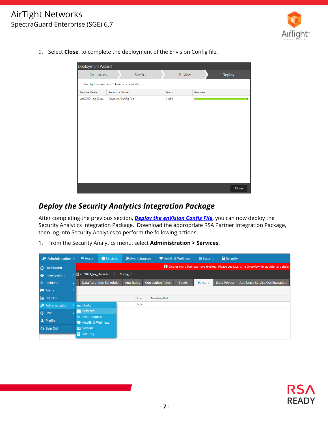## AirTight Networks SpectraGuard Enterprise (SGE) 6.7



9. Select **Close**, to complete the deployment of the Envision Config file.



### *Deploy the Security Analytics Integration Package*

After completing the previous section, *Deploy the enVision Config File*, you can now deploy the Security Analytics Integration Package. Download the appropriate RSA Partner Integration Package, then log into Security Analytics to perform the following actions:

1. From the Security Analytics menu, select **Administration > Services.**

| ' Administration ${}^{\circledcirc}$<br>» |    | $=$ Hosts                            | Services                        | Sources          | Health & Wellness        |              | <b>三</b> System | <b>B</b> Security   |                                                                                                   |
|-------------------------------------------|----|--------------------------------------|---------------------------------|------------------|--------------------------|--------------|-----------------|---------------------|---------------------------------------------------------------------------------------------------|
| <b>C</b> Dashboard                        |    |                                      |                                 |                  |                          |              |                 |                     | <b>4</b> One or more licenses have expired. Please see Licensing Overview for additional details. |
| $\bigoplus$ Investigation                 |    | $\sqrt{20}$ vm3099_log_Decoder       |                                 | Config $\odot$   |                          |              |                 |                     |                                                                                                   |
| $Mr$ Incidents                            | ۰, |                                      | <b>Data Retention Scheduler</b> | <b>App Rules</b> | <b>Correlation Rules</b> | <b>Feeds</b> | <b>Parsers</b>  | <b>Data Privacy</b> | Appliance Service Configuration                                                                   |
| <b>N</b> Alerts                           |    |                                      |                                 |                  |                          |              |                 |                     |                                                                                                   |
| <b>Exi</b> Reports                        |    |                                      |                                 | Live             | <b>Date Installed</b>    |              |                 |                     |                                                                                                   |
| Administration                            |    | $\equiv$ Hosts                       |                                 | N/A              |                          |              |                 |                     |                                                                                                   |
| <b>◎</b> Live                             |    | $S$ Services                         |                                 |                  |                          |              |                 |                     |                                                                                                   |
| <b>1</b> Profile                          |    | s Event Sources<br>Health & Wellness |                                 |                  |                          |              |                 |                     |                                                                                                   |
| <b>心 Sign Out</b>                         |    | 三 System<br><b>R</b> Security        |                                 |                  |                          |              |                 |                     |                                                                                                   |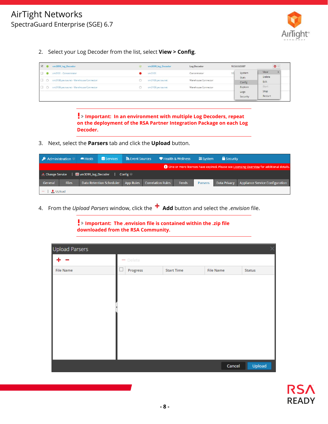

2. Select your Log Decoder from the list, select **View > Config**.

| $\vee$         | vm3099 log Decoder                      |                        | vm3099 log Decoder | Log Decoder         |  | 10.5.0.0.5307    | $\mathbf{Q}$    |
|----------------|-----------------------------------------|------------------------|--------------------|---------------------|--|------------------|-----------------|
| $\Box$         | vm3101 - Concentrator                   | Concentrator<br>vm3101 |                    |                     |  |                  | View            |
| $\Box$ $\circ$ | vm3108.pe.rsa.net - Warehouse Connector |                        | vm3108.pe.rsa.net  | Warehouse Connector |  | Stats<br>Config  | Delete<br>Edit  |
| $\Box$ $\circ$ | vm3109.pe.rsa.net - Warehouse Connector |                        | vm3109.pe.rsa.net  | Warehouse Connector |  | Explore          | Start           |
|                |                                         |                        |                    |                     |  | Logs<br>Security | Stop<br>Restart |

**Important: In an environment with multiple Log Decoders, repeat on the deployment of the RSA Partner Integration Package on each Log Decoder.** 

3. Next, select the **Parsers** tab and click the **Upload** button.

| Administration $\otimes$                                                                     |                                                | Hosts | Services                        | Sources          |                          | Health & Wellness | se System      | <b>B</b> Security |                                        |
|----------------------------------------------------------------------------------------------|------------------------------------------------|-------|---------------------------------|------------------|--------------------------|-------------------|----------------|-------------------|----------------------------------------|
| (b) One or more licenses have expired. Please see Licensing Overview for additional details. |                                                |       |                                 |                  |                          |                   |                |                   |                                        |
|                                                                                              | <b>ED</b> vm3099_log_Decoder<br>Config $\odot$ |       |                                 |                  |                          |                   |                |                   |                                        |
| General                                                                                      | <b>Files</b>                                   |       | <b>Data Retention Scheduler</b> | <b>App Rules</b> | <b>Correlation Rules</b> | Feeds             | <b>Parsers</b> | Data Privacy      | <b>Appliance Service Configuration</b> |
|                                                                                              | $\bullet$ Upload                               |       |                                 |                  |                          |                   |                |                   |                                        |

4. From the *Upload Parsers* window, click the **Add** button and select the *.envision* file.

**Important: The .envision file is contained within the .zip file downloaded from the RSA Community.** 

| <b>Upload Parsers</b> |          |                   |                  |        |
|-----------------------|----------|-------------------|------------------|--------|
|                       | - Delete |                   |                  |        |
| <b>File Name</b>      | Progress | <b>Start Time</b> | <b>File Name</b> | Status |
|                       |          |                   |                  |        |
|                       |          |                   |                  |        |
|                       |          |                   |                  |        |
|                       |          |                   |                  |        |
|                       |          |                   |                  |        |
|                       |          |                   |                  |        |
|                       |          |                   |                  |        |
|                       |          |                   |                  |        |
|                       |          |                   | Cancel           | Upload |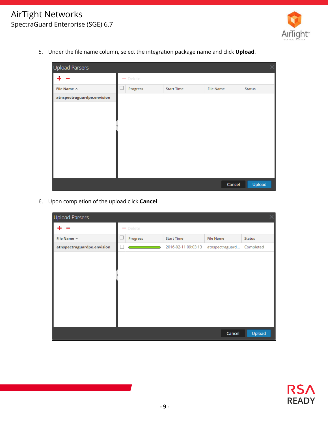

5. Under the file name column, select the integration package name and click **Upload**.

| <b>Upload Parsers</b>      |          |                   |                  |        | X.            |
|----------------------------|----------|-------------------|------------------|--------|---------------|
|                            | - Delete |                   |                  |        |               |
| File Name ^                | Progress | <b>Start Time</b> | <b>File Name</b> |        | <b>Status</b> |
| atnspectraguardpe.envision |          |                   |                  |        |               |
|                            |          |                   |                  |        |               |
|                            |          |                   |                  |        |               |
|                            |          |                   |                  |        |               |
|                            |          |                   |                  |        |               |
|                            |          |                   |                  |        |               |
|                            |          |                   |                  |        |               |
|                            |          |                   |                  |        |               |
|                            |          |                   |                  |        |               |
|                            |          |                   |                  | Cancel | Upload        |

6. Upon completion of the upload click **Cancel**.

| Upload Parsers             |          |                     |                  |           |
|----------------------------|----------|---------------------|------------------|-----------|
|                            | - Delete |                     |                  |           |
| File Name ^                | Progress | <b>Start Time</b>   | <b>File Name</b> | Status    |
| atnspectraguardpe.envision |          | 2016-02-11 09:03:13 | atnspectraguard  | Completed |
|                            |          |                     |                  |           |
|                            |          |                     |                  |           |
|                            |          |                     |                  |           |
|                            |          |                     |                  |           |
|                            |          |                     |                  |           |
|                            |          |                     |                  |           |
|                            |          |                     |                  |           |
|                            |          |                     |                  |           |
|                            |          |                     | Cancel           | Upload    |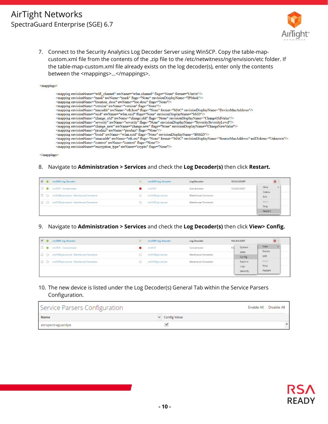## AirTight Networks SpectraGuard Enterprise (SGE) 6.7



7. Connect to the Security Analytics Log Decoder Server using WinSCP. Copy the table-mapcustom.xml file from the contents of the .zip file to the /etc/netwitness/ng/envision/etc folder. If the table-map-custom.xml file already exists on the log decoder(s), enter only the contents between the <mappings>...</mappings>.

|                                                                                                                                                                                                                                                                                                                                                                                                                                                                                                                                                                                                                                                                                                                                                                                                                                                                                                                                                                                                                                                                                                                                                                                                                                                                                                                                                                                         | <mappings></mappings> |                                                                                                    |
|-----------------------------------------------------------------------------------------------------------------------------------------------------------------------------------------------------------------------------------------------------------------------------------------------------------------------------------------------------------------------------------------------------------------------------------------------------------------------------------------------------------------------------------------------------------------------------------------------------------------------------------------------------------------------------------------------------------------------------------------------------------------------------------------------------------------------------------------------------------------------------------------------------------------------------------------------------------------------------------------------------------------------------------------------------------------------------------------------------------------------------------------------------------------------------------------------------------------------------------------------------------------------------------------------------------------------------------------------------------------------------------------|-----------------------|----------------------------------------------------------------------------------------------------|
| <mapping envisiondisplayname="IPMask" envisionname="mask" flags="None" nwname="mask"></mapping><br><mapping envisionname="location_desc" flags="None" nwname="loc.desc"></mapping><br><mapping envisionname="version" flags="None" nwname="version"></mapping><br><mapping envisiondisplayname="DeviceMacAddress" envisionname="macaddr" flags="None" format="MAC" nwname="eth.host"></mapping><br><mapping envisiondisplayname="SSID" envisionname="ssid" flags="None" nwname="wlan.ssid"></mapping><br><mapping envisiondisplayname="ChangeOldValue" envisionname="change_old" flags="None" nwname="change.old"></mapping><br><mapping envisiondisplayname="Severity SeverityLevel" envisionname="severity" flags="None" nwname="severity"></mapping><br><mapping envisiondisplayname="ChangeNewValue" envisionname="change_new" flags="None" nwname="change.new"></mapping><br><mapping envisionname="product" flags="None" nwname="product"></mapping><br><mapping envisiondisplayname="BSSID" envisionname="bssid" flags="None" nwname="wlan.ssid"></mapping><br><mapping envisiondisplayname="SourceMacAddress" envisionname="smacaddr" flags="None" format="MAC" nulltokens="Unknown" nwname="eth.src"></mapping><br><mapping envisionname="context" flags="None" nwname="context"></mapping><br><mapping envisionname="encryption type" flags="None" nwname="crypto"></mapping> |                       | <mapping envisionname="wifi channel" flags="None" format="UInt16" nwname="wlan.channel"></mapping> |

 $<$ /mappings>

#### 8. Navigate to **Administration > Services** and check the **Log Decoder(s)** then click **Restart.**

| <b>M</b> | vm3099 log Decoder                        | vm3099 log Decoder | Log Decoder         | 10.5.0.0.5307 | $\mathbf{Q}$   |
|----------|-------------------------------------------|--------------------|---------------------|---------------|----------------|
| $\Box$   | vm3101 - Concentrator                     | vm3101             | Concentrator        | 10.5.0.0.5307 | View           |
|          | O vm3108.pe.rsa.net - Warehouse Connector | vm3108.pe.rsa.net  | Warehouse Connector |               | Delete<br>Edit |
|          | O vm3109.pe.rsa.net - Warehouse Connector | vm3109.pe.rsa.net  | Warehouse Connector |               | Start          |
|          |                                           |                    |                     |               | Stop           |
|          |                                           |                    |                     |               | Restart        |

#### 9. Navigate to **Administration > Services** and check the **Log Decoder(s)** then click **View> Config.**

| $\vee$   | vm3099 log Decoder                        | $\sigma$ | vm3099 log Decoder                       | Log Decoder  |                             | 10.5.0.0.5307            | $\mathbf{Q}$ |        |  |                |
|----------|-------------------------------------------|----------|------------------------------------------|--------------|-----------------------------|--------------------------|--------------|--------|--|----------------|
| $\Box$   | vm3101 - Concentrator                     |          | vm3101                                   | Concentrator |                             | System                   | View         |        |  |                |
| $\Box$ ( | vm3108.pe.rsa.net - Warehouse Connector   |          | vm3108.pe.rsa.net                        |              | Warehouse Connector         | Stats                    |              | Config |  | Delete<br>Edit |
|          | O vm3109.pe.rsa.net - Warehouse Connector |          | Warehouse Connector<br>vm3109.pe.rsa.net |              | Explore<br>Logs<br>Security | Start<br>Stop<br>Restart |              |        |  |                |

#### 10. The new device is listed under the Log Decoder(s) General Tab within the Service Parsers Configuration.

| Service Parsers Configuration |                     | Enable All Disable All |
|-------------------------------|---------------------|------------------------|
| <b>Name</b>                   | $\vee$ Config Value |                        |
| atnspectraguardpe             |                     |                        |

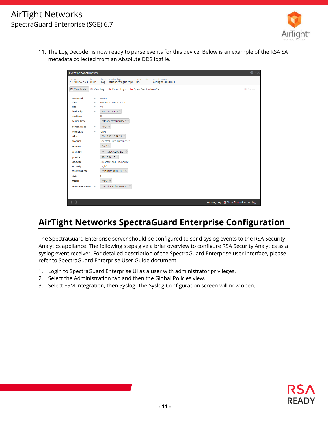

11. The Log Decoder is now ready to parse events for this device. Below is an example of the RSA SA metadata collected from an Absolute DDS logfile.

| <b>Event Reconstruction</b> |                   |         |                                                                    |                       |                                                 | $Q \nearrow \times$                   |
|-----------------------------|-------------------|---------|--------------------------------------------------------------------|-----------------------|-------------------------------------------------|---------------------------------------|
| service                     | id                |         | type service type<br>10.100.52.173 88016 Log atnspectraguardpe IPS |                       | service class event source<br>AirTight_40:8D:8E |                                       |
| 图 View Meta                 | <b>E</b> View Log |         | <b>Export Logs</b>                                                 | Open Event in New Tab |                                                 | Cancel                                |
|                             |                   |         |                                                                    |                       |                                                 |                                       |
| sessionid<br>time           | ٠                 | 88016   | 2016-02-11T09:22:47.0                                              |                       |                                                 |                                       |
| size                        | ÷<br>$\equiv$     | 745     |                                                                    |                       |                                                 |                                       |
| device.ip                   | $\equiv$          |         | 10.100.52.173                                                      |                       |                                                 |                                       |
| medium                      |                   |         |                                                                    |                       |                                                 |                                       |
|                             | $\equiv$          | 32      |                                                                    |                       |                                                 |                                       |
| device.type                 | ٠                 |         | "atnspectraguardpe" @                                              |                       |                                                 |                                       |
| device.class                | ٠                 | "IPS" @ |                                                                    |                       |                                                 |                                       |
| header.id                   | $\equiv$          | "0103"  |                                                                    |                       |                                                 |                                       |
| eth.src                     | ٠                 |         | 00:15:17:25:5E:23                                                  |                       |                                                 |                                       |
| product                     | Ξ                 |         | "SpectraGuard Enterprise"                                          |                       |                                                 |                                       |
| version                     | ٠                 | "6.6" ⊙ |                                                                    |                       |                                                 |                                       |
| user.dst                    | $\equiv$          |         | "A4:67:06:6E:47:D9" @                                              |                       |                                                 |                                       |
| ip.addr                     | $\equiv$          |         | 10.10.10.10                                                        |                       |                                                 |                                       |
| loc.desc                    | $\equiv$          |         | "//MasterCard/Unknown"                                             |                       |                                                 |                                       |
| severity                    | $\equiv$          | "High"  |                                                                    |                       |                                                 |                                       |
| event.source                | $\equiv$          |         | "AirTight_40:8D:8E" @                                              |                       |                                                 |                                       |
| level                       | ٠                 | 3       |                                                                    |                       |                                                 |                                       |
| msg.id                      | $\equiv$          | "799" ⊙ |                                                                    |                       |                                                 |                                       |
| $event.cat.name =$          |                   |         | "Policies.Rules.Rejects" ®                                         |                       |                                                 |                                       |
|                             |                   |         |                                                                    |                       |                                                 |                                       |
|                             |                   |         |                                                                    |                       |                                                 |                                       |
| $\langle \rangle$           |                   |         |                                                                    |                       |                                                 | Viewing Log E Show Reconstruction Log |

# **AirTight Networks SpectraGuard Enterprise Configuration**

The SpectraGuard Enterprise server should be configured to send syslog events to the RSA Security Analytics appliance. The following steps give a brief overview to configure RSA Security Analytics as a syslog event receiver. For detailed description of the SpectraGuard Enterprise user interface, please refer to SpectraGuard Enterprise User Guide document.

- 1. Login to SpectraGuard Enterprise UI as a user with administrator privileges.
- 2. Select the Administration tab and then the Global Policies view.
- 3. Select ESM Integration, then Syslog. The Syslog Configuration screen will now open.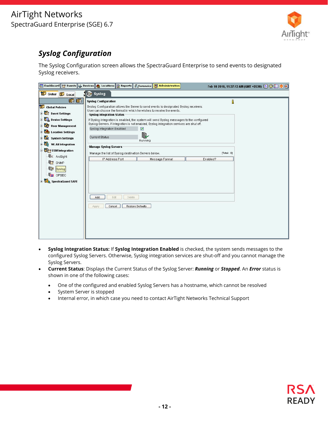

# *Syslog Configuration*

The Syslog Configuration screen allows the SpectraGuard Enterprise to send events to designated Syslog receivers.

- **Syslog Integration Status:** If **Syslog Integration Enabled** is checked, the system sends messages to the configured Syslog Servers. Otherwise, Syslog integration services are shut-off and you cannot manage the Syslog Servers.
- **Current Status**: Displays the Current Status of the Syslog Server: *Running* or *Stopped*. An *Error* status is shown in one of the following cases:
	- One of the configured and enabled Syslog Servers has a hostname, which cannot be resolved
	- System Server is stopped
	- Internal error, in which case you need to contact AirTight Networks Technical Support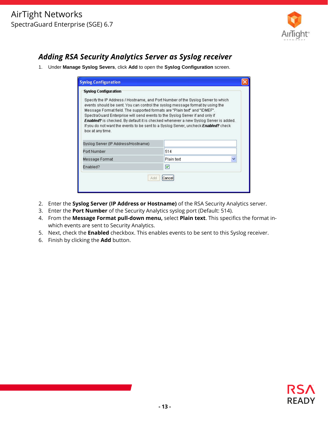

# *Adding RSA Security Analytics Server as Syslog receiver*

1. Under **Manage Syslog Severs**, click **Add** to open the **Syslog Configuration** screen.

| <b>Syslog Configuration</b>                                                                                                                                                                                                                                                                                                                                                                                                                                                                                                              |     |  |  |  |  |  |  |  |  |  |
|------------------------------------------------------------------------------------------------------------------------------------------------------------------------------------------------------------------------------------------------------------------------------------------------------------------------------------------------------------------------------------------------------------------------------------------------------------------------------------------------------------------------------------------|-----|--|--|--|--|--|--|--|--|--|
| <b>Syslog Configuration</b>                                                                                                                                                                                                                                                                                                                                                                                                                                                                                                              |     |  |  |  |  |  |  |  |  |  |
| Specify the IP Address / Hostname, and Port Number of the Syslog Server to which<br>events should be sent. You can control the syslog message format by using the<br>Message Format field. The supported formats are "Plain text" and "IDMEF".<br>SpectraGuard Enterprise will send events to the Syslog Server if and only if<br><b>Enabled?</b> is checked. By default it is checked whenever a new Syslog Server is added.<br>If you do not want the events to be sent to a Syslog Server, uncheck Enabled? check<br>box at any time. |     |  |  |  |  |  |  |  |  |  |
| Syslog Server (IP Address/Hostname).                                                                                                                                                                                                                                                                                                                                                                                                                                                                                                     |     |  |  |  |  |  |  |  |  |  |
| Port Number                                                                                                                                                                                                                                                                                                                                                                                                                                                                                                                              | 514 |  |  |  |  |  |  |  |  |  |
| Plain text<br>Message Format                                                                                                                                                                                                                                                                                                                                                                                                                                                                                                             |     |  |  |  |  |  |  |  |  |  |
| ☑<br>Enabled?                                                                                                                                                                                                                                                                                                                                                                                                                                                                                                                            |     |  |  |  |  |  |  |  |  |  |
| Add<br>Cance                                                                                                                                                                                                                                                                                                                                                                                                                                                                                                                             |     |  |  |  |  |  |  |  |  |  |

- 2. Enter the **Syslog Server (IP Address or Hostname)** of the RSA Security Analytics server.
- 3. Enter the **Port Number** of the Security Analytics syslog port (Default: 514).
- 4. From the **Message Format pull-down menu,** select **Plain text**. This specifics the format inwhich events are sent to Security Analytics.
- 5. Next, check the **Enabled** checkbox. This enables events to be sent to this Syslog receiver.
- 6. Finish by clicking the **Add** button.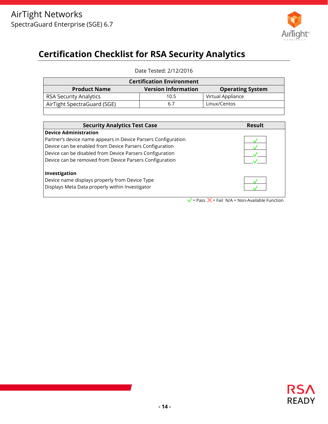

# **Certification Checklist for RSA Security Analytics**

Date Tested: 2/12/2016

| <b>Certification Environment</b>                                             |      |                   |  |  |  |  |  |  |
|------------------------------------------------------------------------------|------|-------------------|--|--|--|--|--|--|
| <b>Version Information</b><br><b>Product Name</b><br><b>Operating System</b> |      |                   |  |  |  |  |  |  |
| <b>RSA Security Analytics</b>                                                | 10.5 | Virtual Appliance |  |  |  |  |  |  |
| AirTight SpectraGuard (SGE)                                                  | 6.7  | Linux/Centos      |  |  |  |  |  |  |

| <b>Security Analytics Test Case</b>                           | Result |
|---------------------------------------------------------------|--------|
| <b>Device Administration</b>                                  |        |
| Partner's device name appears in Device Parsers Configuration |        |
| Device can be enabled from Device Parsers Configuration       |        |
| Device can be disabled from Device Parsers Configuration      |        |
| Device can be removed from Device Parsers Configuration       |        |
| Investigation                                                 |        |
| Device name displays properly from Device Type                |        |
| Displays Meta Data properly within Investigator               |        |

 $=$  Pass  $\bf{X}$  = Fail N/A = Non-Available Function